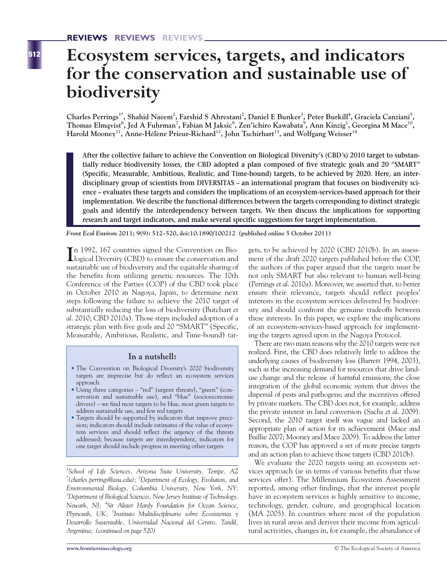# **Ecosystem services, targets, and indicators for the conservation and sustainable use of biodiversity**

 $\mu$ Charles Perrings<sup>1\*</sup>, Shahid Naeem<sup>2</sup>, Farshid S Ahrestani<sup>2</sup>, Daniel E Bunker<sup>3</sup>, Peter Burkill<sup>4</sup>, Graciela Canziani<sup>5</sup>,  $\bf{Thomas Elmqvist}^6$ ,  $\bf{Jed A Fuhrman}^7$ ,  $\bf{Fabian M Jaksic}^8$ ,  $\bf{Zen'ichiro Kawabata}^9$ ,  $\bf{Ann Kinzig}^1$ ,  $\bf{Georgina M Mace}^{10}$ , Harold Mooney<sup>11</sup>, Anne-Hélène Prieur-Richard<sup>12</sup>, John Tschirhart<sup>13</sup>, and Wolfgang Weisser<sup>14</sup>

**After the collective failure to achieve the Convention on Biological Diversity's (CBD's) 2010 target to substantially reduce biodiversity losses, the CBD adopted a plan composed of five strategic goals and 20 "SMART" (Specific, Measurable, Ambitious, Realistic, and Time-bound) targets, to be achieved by 2020. Here, an interdisciplinary group of scientists from DIVERSITAS – an international program that focuses on biodiversity science – evaluates these targets and considers the implications of an ecosystem-services-based approach for their implementation. We describe the functional differences between the targets corresponding to distinct strategic goals and identify the interdependency between targets. We then discuss the implications for supporting research and target indicators, and make several specific suggestions for target implementation.** 

*Front Ecol Environ* **2011; 9(9): 512–520, doi:10.1890/100212 (published online 5 October 2011)**

In 1992, 167 countries signed the Convention on Bio-<br>logical Diversity (CBD) to ensure the conservation and logical Diversity (CBD) to ensure the conservation and sustainable use of biodiversity and the equitable sharing of the benefits from utilizing genetic resources. The 10th Conference of the Parties (COP) of the CBD took place in October 2010 in Nagoya, Japan, to determine next steps following the failure to achieve the 2010 target of substantially reducing the loss of biodiversity (Butchart *et al*. 2010; CBD 2010a). Those steps included adoption of a strategic plan with five goals and 20 "SMART" (Specific, Measurable, Ambitious, Realistic, and Time-bound) tar-

#### **In a nutshell:**

- The Convention on Biological Diversity's 2020 biodiversity targets are imprecise but do reflect an ecosystem services approach
- Using three categories "red" (urgent threats), "green" (conservation and sustainable use), and "blue" (socioeconomic drivers) – we find most targets to be blue, most green targets to address sustainable use, and few red targets
- Targets should be supported by indicators that improve precision; indicators should include estimates of the value of ecosystem services and should reflect the urgency of the threats addressed; because targets are interdependent, indicators for one target should include progress in meeting other targets

*1 School of Life Sciences, Arizona State University, Tempe, AZ \* (charles.perrings@asu.edu); <sup>2</sup> Department of Ecology, Evolution, and Environmental Biology, Columbia University, New York, NY; 3 Department of Biological Sciences, New Jersey Institute of Technology, Newark, NJ; <sup>4</sup> Sir Alister Hardy Foundation for Ocean Science, Plymouth, UK; <sup>5</sup> Instituto Multidisciplinario sobre Ecosistemas y Desarrollo Sustentable, Universidad Nacional del Centro, Tandil, Argentina; (continued on page 520)*

gets, to be achieved by 2020 (CBD 2010b). In an assessment of the draft 2020 targets published before the COP, the authors of this paper argued that the targets must be not only SMART but also relevant to human well-being (Perrings *et al*. 2010a). Moreover, we asserted that, to better ensure their relevance, targets should reflect peoples' interests in the ecosystem services delivered by biodiversity and should confront the genuine tradeoffs between these interests. In this paper, we explore the implications of an ecosystem-services-based approach for implementing the targets agreed upon in the Nagoya Protocol.

There are two main reasons why the 2010 targets were not realized. First, the CBD does relatively little to address the underlying causes of biodiversity loss (Barrett 1994, 2003), such as the increasing demand for resources that drive landuse change and the release of harmful emissions; the close integration of the global economic system that drives the dispersal of pests and pathogens; and the incentives offered by private markets. The CBD does not, for example, address the private interest in land conversion (Sachs *et al*. 2009). Second, the 2010 target itself was vague and lacked an appropriate plan of action for its achievement (Mace and Baillie 2007; Mooney and Mace 2009). To address the latter reason, the COP has approved a set of more precise targets and an action plan to achieve those targets (CBD 2010b).

We evaluate the 2020 targets using an ecosystem services approach (ie in terms of various benefits that those services offer). The Millennium Ecosystem Assessment reported, among other findings, that the interest people have in ecosystem services is highly sensitive to income, technology, gender, culture, and geographical location (MA 2005). In countries where most of the population lives in rural areas and derives their income from agricultural activities, changes in, for example, the abundance of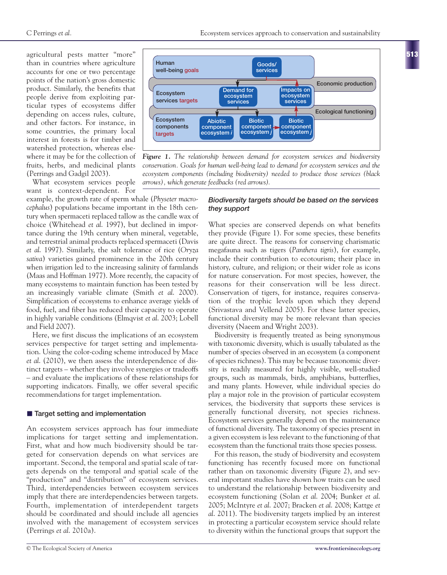agricultural pests matter "more" than in countries where agriculture accounts for one or two percentage points of the nation's gross domestic product. Similarly, the benefits that people derive from exploiting particular types of ecosystems differ depending on access rules, culture, and other factors. For instance, in some countries, the primary local interest in forests is for timber and watershed protection, whereas elsewhere it may be for the collection of fruits, herbs, and medicinal plants (Perrings and Gadgil 2003).

What ecosystem services people want is context-dependent. For

example, the growth rate of sperm whale (*Physeter macrocephalus*) populations became important in the 18th century when spermaceti replaced tallow as the candle wax of choice (Whitehead *et al*. 1997), but declined in importance during the 19th century when mineral, vegetable, and terrestrial animal products replaced spermaceti (Davis *et al*. 1997). Similarly, the salt tolerance of rice (*Oryza sativa*) varieties gained prominence in the 20th century when irrigation led to the increasing salinity of farmlands (Maas and Hoffman 1977). More recently, the capacity of many ecosystems to maintain function has been tested by an increasingly variable climate (Smith *et al*. 2000). Simplification of ecosystems to enhance average yields of food, fuel, and fiber has reduced their capacity to operate in highly variable conditions (Elmqvist *et al*. 2003; Lobell and Field 2007).

Here, we first discuss the implications of an ecosystem services perspective for target setting and implementation. Using the color-coding scheme introduced by Mace *et al*. (2010), we then assess the interdependence of distinct targets – whether they involve synergies or tradeoffs – and evaluate the implications of these relationships for supporting indicators. Finally, we offer several specific recommendations for target implementation.

#### ■ **Target setting and implementation**

An ecosystem services approach has four immediate implications for target setting and implementation. First, what and how much biodiversity should be targeted for conservation depends on what services are important. Second, the temporal and spatial scale of targets depends on the temporal and spatial scale of the "production" and "distribution" of ecosystem services. Third, interdependencies between ecosystem services imply that there are interdependencies between targets. Fourth, implementation of interdependent targets should be coordinated and should include all agencies involved with the management of ecosystem services (Perrings *et al*. 2010a).



*Figure 1. The relationship between demand for ecosystem services and biodiversity conservation. Goals for human well-being lead to demand for ecosystem services and the ecosystem components (including biodiversity) needed to produce those services (black arrows), which generate feedbacks (red arrows).*

### *Biodiversity targets should be based on the services they support*

What species are conserved depends on what benefits they provide (Figure 1). For some species, these benefits are quite direct. The reasons for conserving charismatic megafauna such as tigers (*Panthera tigris*), for example, include their contribution to ecotourism; their place in history, culture, and religion; or their wider role as icons for nature conservation. For most species, however, the reasons for their conservation will be less direct. Conservation of tigers, for instance, requires conservation of the trophic levels upon which they depend (Srivastava and Vellend 2005). For these latter species, functional diversity may be more relevant than species diversity (Naeem and Wright 2003).

Biodiversity is frequently treated as being synonymous with taxonomic diversity, which is usually tabulated as the number of species observed in an ecosystem (a component of species richness). This may be because taxonomic diversity is readily measured for highly visible, well-studied groups, such as mammals, birds, amphibians, butterflies, and many plants. However, while individual species do play a major role in the provision of particular ecosystem services, the biodiversity that supports these services is generally functional diversity, not species richness. Ecosystem services generally depend on the maintenance of functional diversity. The taxonomy of species present in a given ecosystem is less relevant to the functioning of that ecosystem than the functional traits those species possess.

For this reason, the study of biodiversity and ecosystem functioning has recently focused more on functional rather than on taxonomic diversity (Figure 2), and several important studies have shown how traits can be used to understand the relationship between biodiversity and ecosystem functioning (Solan *et al*. 2004; Bunker *et al*. 2005; McIntyre *et al*. 2007; Bracken *et al*. 2008; Kattge *et al*. 2011). The biodiversity targets implied by an interest in protecting a particular ecosystem service should relate to diversity within the functional groups that support the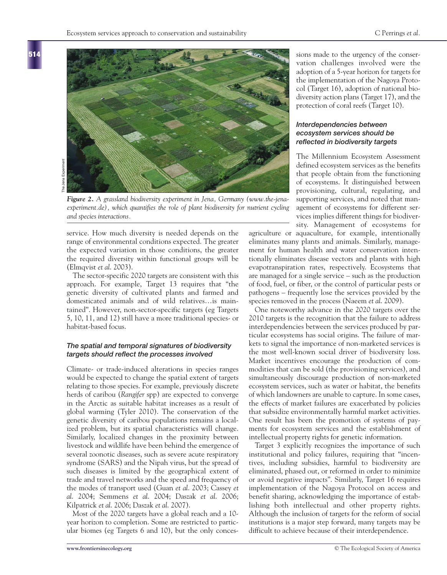

*Figure 2. A grassland biodiversity experiment in Jena, Germany (www.the-jenaexperiment.de), which quantifies the role of plant biodiversity for nutrient cycling and species interactions.*

service. How much diversity is needed depends on the range of environmental conditions expected. The greater the expected variation in those conditions, the greater the required diversity within functional groups will be (Elmqvist *et al*. 2003).

The sector-specific 2020 targets are consistent with this approach. For example, Target 13 requires that "the genetic diversity of cultivated plants and farmed and domesticated animals and of wild relatives…is maintained". However, non-sector-specific targets (eg Targets 5, 10, 11, and 12) still have a more traditional species- or habitat-based focus.

#### *The spatial and temporal signatures of biodiversity targets should reflect the processes involved*

Climate- or trade-induced alterations in species ranges would be expected to change the spatial extent of targets relating to those species. For example, previously discrete herds of caribou (*Rangifer* spp) are expected to converge in the Arctic as suitable habitat increases as a result of global warming (Tyler 2010). The conservation of the genetic diversity of caribou populations remains a localized problem, but its spatial characteristics will change. Similarly, localized changes in the proximity between livestock and wildlife have been behind the emergence of several zoonotic diseases, such as severe acute respiratory syndrome (SARS) and the Nipah virus, but the spread of such diseases is limited by the geographical extent of trade and travel networks and the speed and frequency of the modes of transport used (Guan *et al*. 2003; Cassey *et al*. 2004; Semmens *et al*. 2004; Daszak *et al*. 2006; Kilpatrick *et al*. 2006; Daszak *et al*. 2007).

Most of the 2020 targets have a global reach and a 10 year horizon to completion. Some are restricted to particular biomes (eg Targets 6 and 10), but the only concessions made to the urgency of the conservation challenges involved were the adoption of a 5-year horizon for targets for the implementation of the Nagoya Protocol (Target 16), adoption of national biodiversity action plans (Target 17), and the protection of coral reefs (Target 10).

#### *Interdependencies between ecosystem services should be reflected in biodiversity targets*

The Millennium Ecosystem Assessment defined ecosystem services as the benefits that people obtain from the functioning of ecosystems. It distinguished between provisioning, cultural, regulating, and supporting services, and noted that management of ecosystems for different services implies different things for biodiversity. Management of ecosystems for

agriculture or aquaculture, for example, intentionally eliminates many plants and animals. Similarly, management for human health and water conservation intentionally eliminates disease vectors and plants with high evapotranspiration rates, respectively. Ecosystems that are managed for a single service – such as the production of food, fuel, or fiber, or the control of particular pests or pathogens – frequently lose the services provided by the species removed in the process (Naeem *et al*. 2009).

One noteworthy advance in the 2020 targets over the 2010 targets is the recognition that the failure to address interdependencies between the services produced by particular ecosystems has social origins. The failure of markets to signal the importance of non-marketed services is the most well-known social driver of biodiversity loss. Market incentives encourage the production of commodities that can be sold (the provisioning services), and simultaneously discourage production of non-marketed ecosystem services, such as water or habitat, the benefits of which landowners are unable to capture. In some cases, the effects of market failures are exacerbated by policies that subsidize environmentally harmful market activities. One result has been the promotion of systems of payments for ecosystem services and the establishment of intellectual property rights for genetic information.

Target 3 explicitly recognizes the importance of such institutional and policy failures, requiring that "incentives, including subsidies, harmful to biodiversity are eliminated, phased out, or reformed in order to minimize or avoid negative impacts". Similarly, Target 16 requires implementation of the Nagoya Protocol on access and benefit sharing, acknowledging the importance of establishing both intellectual and other property rights. Although the inclusion of targets for the reform of social institutions is a major step forward, many targets may be difficult to achieve because of their interdependence.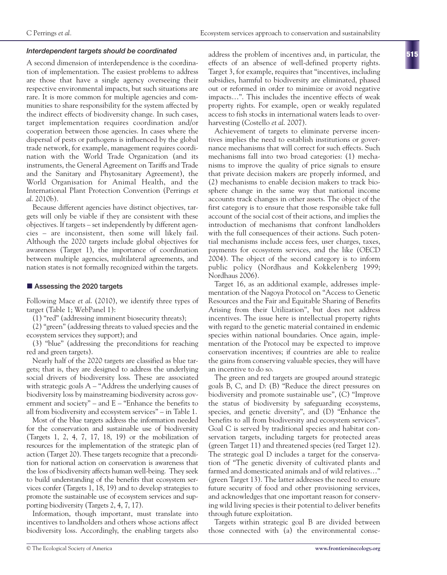#### *Interdependent targets should be coordinated*

A second dimension of interdependence is the coordination of implementation. The easiest problems to address are those that have a single agency overseeing their respective environmental impacts, but such situations are rare. It is more common for multiple agencies and communities to share responsibility for the system affected by the indirect effects of biodiversity change. In such cases, target implementation requires coordination and/or cooperation between those agencies. In cases where the dispersal of pests or pathogens is influenced by the global trade network, for example, management requires coordination with the World Trade Organization (and its instruments, the General Agreement on Tariffs and Trade and the Sanitary and Phytosanitary Agreement), the World Organisation for Animal Health, and the International Plant Protection Convention (Perrings *et al*. 2010b).

Because different agencies have distinct objectives, targets will only be viable if they are consistent with these objectives. If targets – set independently by different agencies – are inconsistent, then some will likely fail. Although the 2020 targets include global objectives for awareness (Target 1), the importance of coordination between multiple agencies, multilateral agreements, and nation states is not formally recognized within the targets.

#### ■ Assessing the 2020 targets

Following Mace *et al*. (2010), we identify three types of target (Table 1; WebPanel 1):

(1) "red" (addressing imminent biosecurity threats);

(2) "green" (addressing threats to valued species and the ecosystem services they support); and

(3) "blue" (addressing the preconditions for reaching red and green targets).

Nearly half of the 2020 targets are classified as blue targets; that is, they are designed to address the underlying social drivers of biodiversity loss. These are associated with strategic goals  $A - "Address the underlying causes of$ biodiversity loss by mainstreaming biodiversity across government and society" – and E – "Enhance the benefits to all from biodiversity and ecosystem services" – in Table 1.

Most of the blue targets address the information needed for the conservation and sustainable use of biodiversity (Targets 1, 2, 4, 7, 17, 18, 19) or the mobilization of resources for the implementation of the strategic plan of action (Target 20). These targets recognize that a precondition for national action on conservation is awareness that the loss of biodiversity affects human well-being. They seek to build understanding of the benefits that ecosystem services confer (Targets 1, 18, 19) and to develop strategies to promote the sustainable use of ecosystem services and supporting biodiversity (Targets 2, 4, 7, 17).

Information, though important, must translate into incentives to landholders and others whose actions affect biodiversity loss. Accordingly, the enabling targets also address the problem of incentives and, in particular, the effects of an absence of well-defined property rights. Target 3, for example, requires that "incentives, including subsidies, harmful to biodiversity are eliminated, phased out or reformed in order to minimize or avoid negative impacts…". This includes the incentive effects of weak property rights. For example, open or weakly regulated access to fish stocks in international waters leads to overharvesting (Costello *et al*. 2007).

Achievement of targets to eliminate perverse incentives implies the need to establish institutions or governance mechanisms that will correct for such effects. Such mechanisms fall into two broad categories: (1) mechanisms to improve the quality of price signals to ensure that private decision makers are properly informed, and (2) mechanisms to enable decision makers to track biosphere change in the same way that national income accounts track changes in other assets. The object of the first category is to ensure that those responsible take full account of the social cost of their actions, and implies the introduction of mechanisms that confront landholders with the full consequences of their actions. Such potential mechanisms include access fees, user charges, taxes, payments for ecosystem services, and the like (OECD 2004). The object of the second category is to inform public policy (Nordhaus and Kokkelenberg 1999; Nordhaus 2006).

Target 16, as an additional example, addresses implementation of the Nagoya Protocol on "Access to Genetic Resources and the Fair and Equitable Sharing of Benefits Arising from their Utilization", but does not address incentives. The issue here is intellectual property rights with regard to the genetic material contained in endemic species within national boundaries. Once again, implementation of the Protocol may be expected to improve conservation incentives; if countries are able to realize the gains from conserving valuable species, they will have an incentive to do so.

The green and red targets are grouped around strategic goals B, C, and D: (B) "Reduce the direct pressures on biodiversity and promote sustainable use", (C) "Improve the status of biodiversity by safeguarding ecosystems, species, and genetic diversity", and (D) "Enhance the benefits to all from biodiversity and ecosystem services". Goal C is served by traditional species and habitat conservation targets, including targets for protected areas (green Target 11) and threatened species (red Target 12). The strategic goal D includes a target for the conservation of "The genetic diversity of cultivated plants and farmed and domesticated animals and of wild relatives…" (green Target 13). The latter addresses the need to ensure future security of food and other provisioning services, and acknowledges that one important reason for conserving wild living species is their potential to deliver benefits through future exploitation.

Targets within strategic goal B are divided between those connected with (a) the environmental conse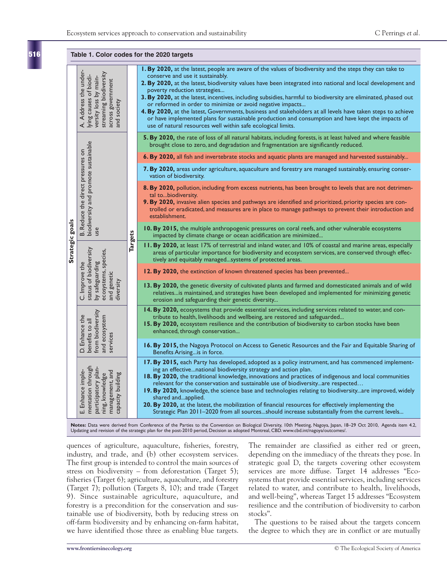**516**

| Table 1. Color codes for the 2020 targets                                                                                                                                                                                                                                                                  |                                                                                                                                                                         |                |                                                                                                                                                                                                                                                                                                                                                                                                                                                                                                                                                                                                                                                                                                                                                                 |
|------------------------------------------------------------------------------------------------------------------------------------------------------------------------------------------------------------------------------------------------------------------------------------------------------------|-------------------------------------------------------------------------------------------------------------------------------------------------------------------------|----------------|-----------------------------------------------------------------------------------------------------------------------------------------------------------------------------------------------------------------------------------------------------------------------------------------------------------------------------------------------------------------------------------------------------------------------------------------------------------------------------------------------------------------------------------------------------------------------------------------------------------------------------------------------------------------------------------------------------------------------------------------------------------------|
| Strategic goals                                                                                                                                                                                                                                                                                            | Address the under<br>streaming biodiversity<br>A. Address the unde<br>lying causes of biodi-<br>versity loss by main-<br>across government<br>and society               | <b>Targets</b> | I. By 2020, at the latest, people are aware of the values of biodiversity and the steps they can take to<br>conserve and use it sustainably.<br>2. By 2020, at the latest, biodiversity values have been integrated into national and local development and<br>poverty reduction strategies<br>3. By 2020, at the latest, incentives, including subsidies, harmful to biodiversity are eliminated, phased out<br>or reformed in order to minimize or avoid negative impacts<br>4. By 2020, at the latest, Governments, business and stakeholders at all levels have taken steps to achieve<br>or have implemented plans for sustainable production and consumption and have kept the impacts of<br>use of natural resources well within safe ecological limits. |
|                                                                                                                                                                                                                                                                                                            | B. Reduce the direct pressures on<br>biodiversity and promote sustainable<br>use                                                                                        |                | 5. By 2020, the rate of loss of all natural habitats, including forests, is at least halved and where feasible<br>brought close to zero, and degradation and fragmentation are significantly reduced.                                                                                                                                                                                                                                                                                                                                                                                                                                                                                                                                                           |
|                                                                                                                                                                                                                                                                                                            |                                                                                                                                                                         |                | 6. By 2020, all fish and invertebrate stocks and aquatic plants are managed and harvested sustainably                                                                                                                                                                                                                                                                                                                                                                                                                                                                                                                                                                                                                                                           |
|                                                                                                                                                                                                                                                                                                            |                                                                                                                                                                         |                | 7. By 2020, areas under agriculture, aquaculture and forestry are managed sustainably, ensuring conser-<br>vation of biodiversity.                                                                                                                                                                                                                                                                                                                                                                                                                                                                                                                                                                                                                              |
|                                                                                                                                                                                                                                                                                                            |                                                                                                                                                                         |                | 8. By 2020, pollution, including from excess nutrients, has been brought to levels that are not detrimen-<br>tal tobiodiversity.<br>9. By 2020, invasive alien species and pathways are identified and prioritized, priority species are con-<br>trolled or eradicated, and measures are in place to manage pathways to prevent their introduction and<br>establishment.                                                                                                                                                                                                                                                                                                                                                                                        |
|                                                                                                                                                                                                                                                                                                            |                                                                                                                                                                         |                | 10. By 2015, the multiple anthropogenic pressures on coral reefs, and other vulnerable ecosystems<br>impacted by climate change or ocean acidification are minimized                                                                                                                                                                                                                                                                                                                                                                                                                                                                                                                                                                                            |
|                                                                                                                                                                                                                                                                                                            | status of biodiversity<br>ecosystems, species,<br>by safeguarding<br>C. Improve the<br>and genetic<br>diversity                                                         |                | II. By 2020, at least 17% of terrestrial and inland water, and 10% of coastal and marine areas, especially<br>areas of particular importance for biodiversity and ecosystem services, are conserved through effec-<br>tively and equitably managedsystems of protected areas.                                                                                                                                                                                                                                                                                                                                                                                                                                                                                   |
|                                                                                                                                                                                                                                                                                                            |                                                                                                                                                                         |                | <b>12. By 2020, the extinction of known threatened species has been prevented</b>                                                                                                                                                                                                                                                                                                                                                                                                                                                                                                                                                                                                                                                                               |
|                                                                                                                                                                                                                                                                                                            |                                                                                                                                                                         |                | 13. By 2020, the genetic diversity of cultivated plants and farmed and domesticated animals and of wild<br>relativesis maintained, and strategies have been developed and implemented for minimizing genetic<br>erosion and safeguarding their genetic diversity                                                                                                                                                                                                                                                                                                                                                                                                                                                                                                |
|                                                                                                                                                                                                                                                                                                            | from biodiversity<br>D. Enhance the<br>and ecosystem<br>benefits to all<br>services                                                                                     |                | 14. By 2020, ecosystems that provide essential services, including services related to water, and con-<br>tribute to health, livelihoods and wellbeing, are restored and safeguarded<br>15. By 2020, ecosystem resilience and the contribution of biodiversity to carbon stocks have been<br>enhanced, through conservation                                                                                                                                                                                                                                                                                                                                                                                                                                     |
|                                                                                                                                                                                                                                                                                                            |                                                                                                                                                                         |                | 16. By 2015, the Nagoya Protocol on Access to Genetic Resources and the Fair and Equitable Sharing of<br>Benefits Arisingis in force.                                                                                                                                                                                                                                                                                                                                                                                                                                                                                                                                                                                                                           |
|                                                                                                                                                                                                                                                                                                            | $\overline{\phantom{a}}$<br>mentation through<br>participatory plan-<br>ning, knowledge<br>management, and<br>management, and<br>capacity building<br>E. Enhance imple- |                | 17. By 2015, each Party has developed, adopted as a policy instrument, and has commenced implement-<br>ing an effectivenational biodiversity strategy and action plan.<br>18. By 2020, the traditional knowledge, innovations and practices of indigenous and local communities<br>relevant for the conservation and sustainable use of biodiversityare respected<br>19. By 2020, knowledge, the science base and technologies relating to biodiversityare improved, widely<br>shared andapplied.<br>20. By 2020, at the latest, the mobilization of financial resources for effectively implementing the<br>Strategic Plan 2011-2020 from all sourcesshould increase substantially from the current levels                                                     |
| Notes: Data were derived from Conference of the Parties to the Convention on Biological Diversity, 10th Meeting, Nagoya, Japan, 18-29 Oct 2010, Agenda item 4.2,<br>Updating and revision of the strategic plan for the post-2010 period, Decision as adopted Montreal, CBD. www.cbd.int/nagoya/outcomes/. |                                                                                                                                                                         |                |                                                                                                                                                                                                                                                                                                                                                                                                                                                                                                                                                                                                                                                                                                                                                                 |

quences of agriculture, aquaculture, fisheries, forestry, industry, and trade, and (b) other ecosystem services. The first group is intended to control the main sources of stress on biodiversity – from deforestation (Target 5); fisheries (Target 6); agriculture, aquaculture, and forestry (Target 7); pollution (Targets 8, 10); and trade (Target 9). Since sustainable agriculture, aquaculture, and forestry is a precondition for the conservation and sustainable use of biodiversity, both by reducing stress on off-farm biodiversity and by enhancing on-farm habitat, we have identified those three as enabling blue targets.

The remainder are classified as either red or green, depending on the immediacy of the threats they pose. In strategic goal D, the targets covering other ecosystem services are more diffuse. Target 14 addresses "Ecosystems that provide essential services, including services related to water, and contribute to health, livelihoods, and well-being", whereas Target 15 addresses "Ecosystem resilience and the contribution of biodiversity to carbon stocks".

The questions to be raised about the targets concern the degree to which they are in conflict or are mutually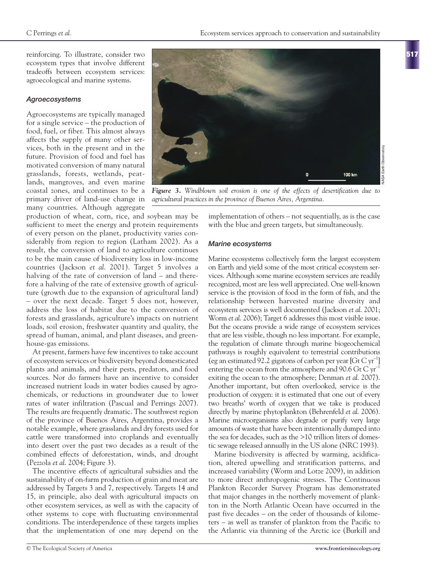reinforcing. To illustrate, consider two ecosystem types that involve different tradeoffs between ecosystem services: agroecological and marine systems.

## *Agroecosystems*

Agroecosystems are typically managed for a single service – the production of food, fuel, or fiber. This almost always affects the supply of many other services, both in the present and in the future. Provision of food and fuel has motivated conversion of many natural grasslands, forests, wetlands, peatlands, mangroves, and even marine coastal zones, and continues to be a primary driver of land-use change in many countries. Although aggregate

production of wheat, corn, rice, and soybean may be sufficient to meet the energy and protein requirements of every person on the planet, productivity varies considerably from region to region (Latham 2002). As a result, the conversion of land to agriculture continues to be the main cause of biodiversity loss in low-income countries (Jackson *et al*. 2001). Target 5 involves a halving of the rate of conversion of land – and therefore a halving of the rate of extensive growth of agriculture (growth due to the expansion of agricultural land) – over the next decade. Target 5 does not, however, address the loss of habitat due to the conversion of forests and grasslands, agriculture's impacts on nutrient loads, soil erosion, freshwater quantity and quality, the spread of human, animal, and plant diseases, and greenhouse-gas emissions.

At present, farmers have few incentives to take account of ecosystem services or biodiversity beyond domesticated plants and animals, and their pests, predators, and food sources. Nor do farmers have an incentive to consider increased nutrient loads in water bodies caused by agrochemicals, or reductions in groundwater due to lower rates of water infiltration (Pascual and Perrings 2007). The results are frequently dramatic. The southwest region of the province of Buenos Aires, Argentina, provides a notable example, where grasslands and dry forests used for cattle were transformed into croplands and eventually into desert over the past two decades as a result of the combined effects of deforestation, winds, and drought (Pezzola *et al*. 2004; Figure 3).

The incentive effects of agricultural subsidies and the sustainability of on-farm production of grain and meat are addressed by Targets 3 and 7, respectively. Targets 14 and 15, in principle, also deal with agricultural impacts on other ecosystem services, as well as with the capacity of other systems to cope with fluctuating environmental conditions. The interdependence of these targets implies that the implementation of one may depend on the



*Figure 3. Windblown soil erosion is one of the effects of desertification due to agricultural practices in the province of Buenos Aires, Argentina.*

implementation of others – not sequentially, as is the case with the blue and green targets, but simultaneously.

## *Marine ecosystems*

Marine ecosystems collectively form the largest ecosystem on Earth and yield some of the most critical ecosystem services. Although some marine ecosystem services are readily recognized, most are less well appreciated. One well-known service is the provision of food in the form of fish, and the relationship between harvested marine diversity and ecosystem services is well documented (Jackson *et al*. 2001; Worm *et al*. 2006); Target 6 addresses this most visible issue. But the oceans provide a wide range of ecosystem services that are less visible, though no less important. For example, the regulation of climate through marine biogeochemical pathways is roughly equivalent to terrestrial contributions (eg an estimated 92.2 gigatons of carbon per year  $[{\rm Gr} C {\rm yr}^{-1}]$ entering the ocean from the atmosphere and  $90.6$  Gt C  $yr^{-1}$ exiting the ocean to the atmosphere; Denman *et al*. 2007). Another important, but often overlooked, service is the production of oxygen: it is estimated that one out of every two breaths' worth of oxygen that we take is produced directly by marine phytoplankton (Behrenfeld *et al*. 2006). Marine microorganisms also degrade or purify very large amounts of waste that have been intentionally dumped into the sea for decades, such as the >10 trillion liters of domestic sewage released annually in the US alone (NRC 1993).

Marine biodiversity is affected by warming, acidification, altered upwelling and stratification patterns, and increased variability (Worm and Lotze 2009), in addition to more direct anthropogenic stresses. The Continuous Plankton Recorder Survey Program has demonstrated that major changes in the northerly movement of plankton in the North Atlantic Ocean have occurred in the past five decades – on the order of thousands of kilometers – as well as transfer of plankton from the Pacific to the Atlantic via thinning of the Arctic ice (Burkill and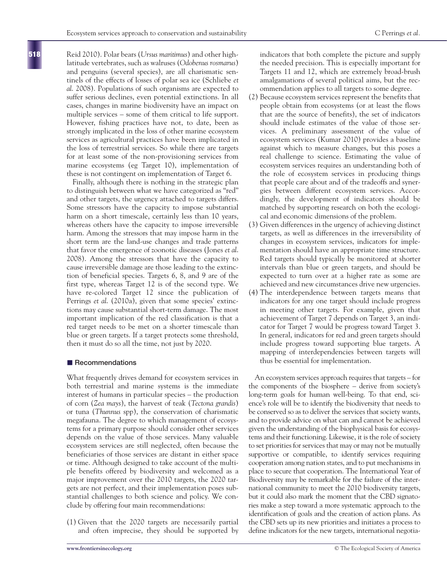Reid 2010). Polar bears (*Ursus maritimus*) and other highlatitude vertebrates, such as walruses (*Odobenus rosmarus*) and penguins (several species), are all charismatic sentinels of the effects of losses of polar sea ice (Schliebe *et al*. 2008). Populations of such organisms are expected to suffer serious declines, even potential extinctions. In all cases, changes in marine biodiversity have an impact on multiple services – some of them critical to life support. However, fishing practices have not, to date, been as strongly implicated in the loss of other marine ecosystem services as agricultural practices have been implicated in the loss of terrestrial services. So while there are targets for at least some of the non-provisioning services from marine ecosystems (eg Target 10), implementation of these is not contingent on implementation of Target 6.

Finally, although there is nothing in the strategic plan to distinguish between what we have categorized as "red" and other targets, the urgency attached to targets differs. Some stressors have the capacity to impose substantial harm on a short timescale, certainly less than 10 years, whereas others have the capacity to impose irreversible harm. Among the stressors that may impose harm in the short term are the land-use changes and trade patterns that favor the emergence of zoonotic diseases (Jones *et al*. 2008). Among the stressors that have the capacity to cause irreversible damage are those leading to the extinction of beneficial species. Targets 6, 8, and 9 are of the first type, whereas Target 12 is of the second type. We have re-colored Target 12 since the publication of Perrings *et al*. (2010a), given that some species' extinctions may cause substantial short-term damage. The most important implication of the red classification is that a red target needs to be met on a shorter timescale than blue or green targets. If a target protects some threshold, then it must do so all the time, not just by 2020.

#### **n** Recommendations

What frequently drives demand for ecosystem services in both terrestrial and marine systems is the immediate interest of humans in particular species – the production of corn (*Zea mays*), the harvest of teak (*Tectona grandis*) or tuna (*Thunnus* spp), the conservation of charismatic megafauna. The degree to which management of ecosystems for a primary purpose should consider other services depends on the value of those services. Many valuable ecosystem services are still neglected, often because the beneficiaries of those services are distant in either space or time. Although designed to take account of the multiple benefits offered by biodiversity and welcomed as a major improvement over the 2010 targets, the 2020 targets are not perfect, and their implementation poses substantial challenges to both science and policy. We conclude by offering four main recommendations:

(1) Given that the 2020 targets are necessarily partial and often imprecise, they should be supported by indicators that both complete the picture and supply the needed precision. This is especially important for Targets 11 and 12, which are extremely broad-brush amalgamations of several political aims, but the recommendation applies to all targets to some degree.

- (2) Because ecosystem services represent the benefits that people obtain from ecosystems (or at least the flows that are the source of benefits), the set of indicators should include estimates of the value of those services. A preliminary assessment of the value of ecosystem services (Kumar 2010) provides a baseline against which to measure changes, but this poses a real challenge to science. Estimating the value of ecosystem services requires an understanding both of the role of ecosystem services in producing things that people care about and of the tradeoffs and synergies between different ecosystem services. Accordingly, the development of indicators should be matched by supporting research on both the ecological and economic dimensions of the problem.
- (3) Given differences in the urgency of achieving distinct targets, as well as differences in the irreversibility of changes in ecosystem services, indicators for implementation should have an appropriate time structure. Red targets should typically be monitored at shorter intervals than blue or green targets, and should be expected to turn over at a higher rate as some are achieved and new circumstances drive new urgencies.
- (4) The interdependence between targets means that indicators for any one target should include progress in meeting other targets. For example, given that achievement of Target 7 depends on Target 3, an indicator for Target 7 would be progress toward Target 3. In general, indicators for red and green targets should include progress toward supporting blue targets. A mapping of interdependencies between targets will thus be essential for implementation.

An ecosystem services approach requires that targets – for the components of the biosphere – derive from society's long-term goals for human well-being. To that end, science's role will be to identify the biodiversity that needs to be conserved so as to deliver the services that society wants, and to provide advice on what can and cannot be achieved given the understanding of the biophysical basis for ecosystems and their functioning. Likewise, it is the role of society to set priorities for services that may or may not be mutually supportive or compatible, to identify services requiring cooperation among nation states, and to put mechanisms in place to secure that cooperation. The International Year of Biodiversity may be remarkable for the failure of the international community to meet the 2010 biodiversity targets, but it could also mark the moment that the CBD signatories make a step toward a more systematic approach to the identification of goals and the creation of action plans. As the CBD sets up its new priorities and initiates a process to define indicators for the new targets, international negotia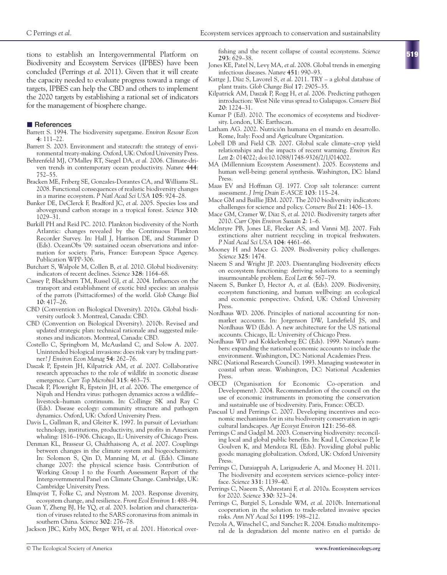tions to establish an Intergovernmental Platform on Biodiversity and Ecosystem Services (IPBES) have been concluded (Perrings *et al*. 2011). Given that it will create the capacity needed to evaluate progress toward a range of targets, IPBES can help the CBD and others to implement the 2020 targets by establishing a rational set of indicators for the management of biosphere change.

#### **n** References

- Barrett S. 1994. The biodiversity supergame. *Environ Resour Econ* **4**: 111–22.
- Barrett S. 2003. Environment and statecraft: the strategy of environmental treaty-making. Oxford, UK: Oxford University Press.
- Behrenfeld MJ, O'Malley RT, Siegel DA, *et al*. 2006. Climate-driven trends in contemporary ocean productivity. *Nature* **444**: 752–55.
- Bracken ME, Friberg SE, Gonzales-Dorantes CA, and Williams SL. 2008. Functional consequences of realistic biodiversity changes in a marine ecosystem. *P Natl Acad Sci USA* **105**: 924–28.
- Bunker DE, DeClerck F, Bradford JC, *et al*. 2005. Species loss and aboveground carbon storage in a tropical forest. *Science* **310**: 1029–31.
- Burkill PH and Reid PC. 2010. Plankton biodiversity of the North Atlantic: changes revealed by the Continuous Plankton Recorder Survey. In: Hall J, Harrison DE, and Stammer D (Eds). OceanObs '09: sustained ocean observations and information for society. Paris, France: European Space Agency. Publication WPP-306.
- Butchart S, Walpole M, Collen B, *et al*. 2010. Global biodiversity: indicators of recent declines. *Science* **328**: 1164–68.
- Cassey P, Blackburn TM, Russel GJ, *et al*. 2004. Influences on the transport and establishment of exotic bird species: an analysis of the parrots (Psittaciformes) of the world. *Glob Change Biol* **10**: 417–26.
- CBD (Convention on Biological Diversity). 2010a. Global biodiversity outlook 3. Montreal, Canada: CBD.
- CBD (Convention on Biological Diversity). 2010b. Revised and updated strategic plan: technical rationale and suggested milestones and indicators. Montreal, Canada: CBD.
- Costello C, Springborn M, McAusland C, and Solow A. 2007. Unintended biological invasions: does risk vary by trading partner? *J Environ Econ Manag* **54**: 262–76.
- Daszak P, Epstein JH, Kilpatrick AM, *et al*. 2007. Collaborative research approaches to the role of wildlife in zoonotic disease emergence. *Curr Top Microbiol* **315**: 463–75.
- Daszak P, Plowright R, Epstein JH, *et al*. 2006. The emergence of Nipah and Hendra virus: pathogen dynamics across a wildlife– livestock–human continuum. In: Collinge SK and Ray C (Eds). Disease ecology: community structure and pathogen dynamics. Oxford, UK: Oxford University Press.
- Davis L, Gallman R, and Gleiter K. 1997. In pursuit of Leviathan: technology, institutions, productivity, and profits in American whaling: 1816–1906. Chicago, IL: University of Chicago Press.
- Denman KL, Brasseur G, Chidthaisong A, *et al*. 2007. Couplings between changes in the climate system and biogeochemistry. In: Solomon S, Qin D, Manning M, *et al*. (Eds). Climate change 2007: the physical science basis. Contribution of Working Group I to the Fourth Assessment Report of the Intergovernmental Panel on Climate Change. Cambridge, UK: Cambridge University Press.
- Elmqvist T, Folke C, and Nystrom M. 2003. Response diversity, ecosystem change, and resilience. *Front Ecol Environ* **1**: 488–94.
- Guan Y, Zheng BJ, He YQ, *et al*. 2003. Isolation and characterization of viruses related to the SARS coronavirus from animals in southern China. *Science* **302**: 276–78.
- Jackson JBC, Kirby MX, Berger WH, *et al*. 2001. Historical over-

fishing and the recent collapse of coastal ecosystems. *Science* **293**: 629–38.

- Jones KE, Patel N, Levy MA, *et al*. 2008. Global trends in emerging infectious diseases. *Nature* **451**: 990–93.
- Kattge J, Díaz S, Lavorel S, *et al*. 2011. TRY a global database of plant traits. *Glob Change Biol* **17**: 2905–35.
- Kilpatrick AM, Daszak P, Rogg H, *et al*. 2006. Predicting pathogen introduction: West Nile virus spread to Galapagos. *Conserv Biol* **20**: 1224–31.
- Kumar P (Ed). 2010. The economics of ecosystems and biodiversity. London, UK: Earthscan.
- Latham AG. 2002. Nutrición humana en el mundo en desarrollo. Rome, Italy: Food and Agriculture Organization.
- Lobell DB and Field CB. 2007. Global scale climate–crop yield relationships and the impacts of recent warming. *Environ Res Lett* **2**: 014022; doi:10.1088/1748-9326/2/1/014002.
- MA (Millennium Ecosystem Assessment). 2005. Ecosystems and human well-being: general synthesis. Washington, DC: Island Press.
- Maas EV and Hoffman GJ. 1977. Crop salt tolerance: current assessment. *J Irrig Drain E-ASCE* **103**: 115–24.
- Mace GM and Baillie JEM. 2007. The 2010 biodiversity indicators: challenges for science and policy. *Conserv Biol* **21**: 1406–13.
- Mace GM, Cramer W, Diaz S, *et al*. 2010. Biodiversity targets after 2010. *Curr Opin Environ Sustain* **2**: 1–6.
- McIntyre PB, Jones LE, Flecker AS, and Vanni MJ. 2007. Fish extinctions alter nutrient recycling in tropical freshwaters. *P Natl Acad Sci USA* **104**: 4461–66.
- Mooney H and Mace G. 2009. Biodiversity policy challenges. *Science* **325**: 1474.
- Naeem S and Wright JP. 2003. Disentangling biodiversity effects on ecosystem functioning: deriving solutions to a seemingly insurmountable problem. *Ecol Lett* **6**: 567–79.
- Naeem S, Bunker D, Hector A, *et al*. (Eds). 2009. Biodiversity, ecosystem functioning, and human wellbeing: an ecological and economic perspective. Oxford, UK: Oxford University Press.
- Nordhaus WD. 2006. Principles of national accounting for nonmarket accounts. In: Jorgenson DW, Landefield JS, and Nordhaus WD (Eds). A new architecture for the US national accounts. Chicago, IL: University of Chicago Press.
- Nordhaus WD and Kokkelenberg EC (Eds). 1999. Nature's numbers: expanding the national economic accounts to include the environment. Washington, DC: National Academies Press.
- NRC (National Research Council). 1993. Managing wastewater in coastal urban areas. Washington, DC: National Academies Press.
- OECD (Organisation for Economic Co-operation and Development). 2004. Recommendation of the council on the use of economic instruments in promoting the conservation and sustainable use of biodiversity. Paris, France: OECD.
- Pascual U and Perrings C. 2007. Developing incentives and economic mechanisms for in situ biodiversity conservation in agricultural landscapes. *Agr Ecosyst Environ* **121**: 256–68.
- Perrings C and Gadgil M. 2003. Conserving biodiversity: reconciling local and global public benefits. In: Kaul I, Conceicao P, le Goulven K, and Mendoza RL (Eds). Providing global public goods: managing globalization. Oxford, UK: Oxford University Press.
- Perrings C, Duraiappah A, Larigauderie A, and Mooney H. 2011. The biodiversity and ecosystem services science–policy interface. *Science* **331**: 1139–40.
- Perrings C, Naeem S, Ahrestani F, *et al*. 2010a. Ecosystem services for 2020. *Science* **330**: 323–24.
- Perrings C, Burgiel S, Lonsdale WM, *et al*. 2010b. International cooperation in the solution to trade-related invasive species risks. *Ann NY Acad Sci* **1195**: 198–212.
- Pezzola A, Winschel C, and Sanchez R. 2004. Estudio multitemporal de la degradation del monte nativo en el partido de